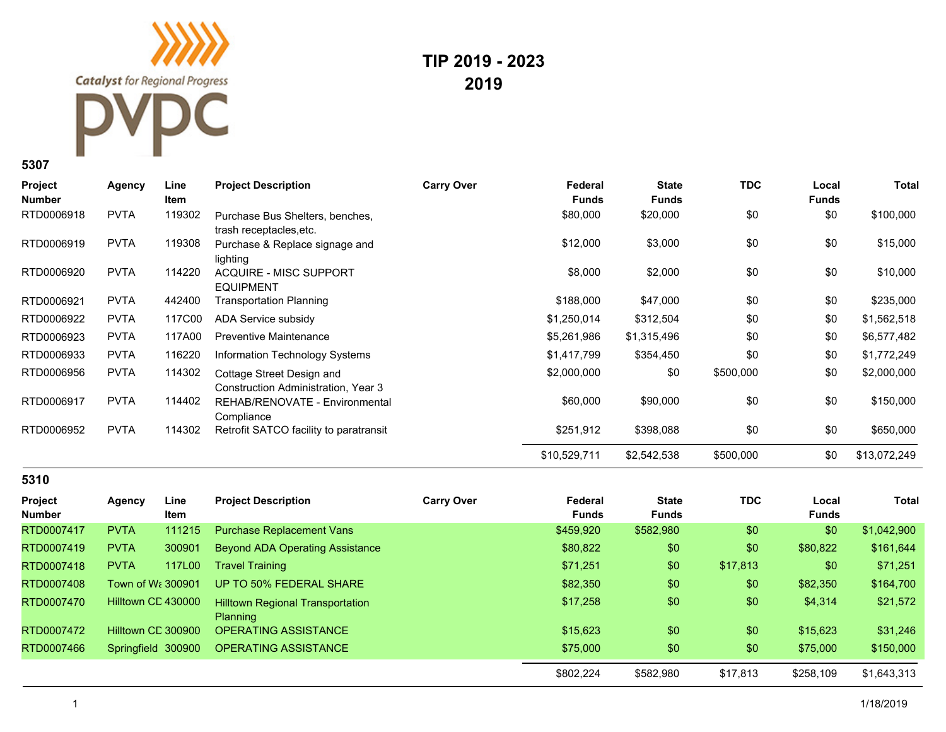**Catalyst** for Regional Progress

**TIP 2019 - 2023 2019**

## **5307**

| <b>Project</b><br><b>Number</b> | <b>Agency</b> | Line<br><b>Item</b> | <b>Project Description</b>                                       | <b>Carry Over</b> | Federal<br><b>Funds</b> | <b>State</b><br><b>Funds</b> | <b>TDC</b> | Local<br><b>Funds</b> | <b>Total</b> |
|---------------------------------|---------------|---------------------|------------------------------------------------------------------|-------------------|-------------------------|------------------------------|------------|-----------------------|--------------|
| RTD0006918                      | <b>PVTA</b>   | 119302              | Purchase Bus Shelters, benches,<br>trash receptacles, etc.       |                   | \$80,000                | \$20,000                     | \$0        | \$0                   | \$100,000    |
| RTD0006919                      | <b>PVTA</b>   | 119308              | Purchase & Replace signage and<br>lighting                       |                   | \$12,000                | \$3,000                      | \$0        | \$0                   | \$15,000     |
| RTD0006920                      | <b>PVTA</b>   | 114220              | <b>ACQUIRE - MISC SUPPORT</b><br><b>EQUIPMENT</b>                |                   | \$8,000                 | \$2,000                      | \$0        | \$0                   | \$10,000     |
| RTD0006921                      | <b>PVTA</b>   | 442400              | Transportation Planning                                          |                   | \$188,000               | \$47,000                     | \$0        | \$0                   | \$235,000    |
| RTD0006922                      | <b>PVTA</b>   | 117C00              | ADA Service subsidy                                              |                   | \$1,250,014             | \$312,504                    | \$0        | \$0                   | \$1,562,518  |
| RTD0006923                      | <b>PVTA</b>   | 117A00              | Preventive Maintenance                                           |                   | \$5,261,986             | \$1,315,496                  | \$0        | \$0                   | \$6,577,482  |
| RTD0006933                      | <b>PVTA</b>   | 116220              | Information Technology Systems                                   |                   | \$1,417,799             | \$354,450                    | \$0        | \$0                   | \$1,772,249  |
| RTD0006956                      | <b>PVTA</b>   | 114302              | Cottage Street Design and<br>Construction Administration, Year 3 |                   | \$2,000,000             | \$0                          | \$500,000  | \$0                   | \$2,000,000  |
| RTD0006917                      | <b>PVTA</b>   | 114402              | REHAB/RENOVATE - Environmental<br>Compliance                     |                   | \$60,000                | \$90,000                     | \$0        | \$0                   | \$150,000    |
| RTD0006952                      | <b>PVTA</b>   | 114302              | Retrofit SATCO facility to paratransit                           |                   | \$251,912               | \$398,088                    | \$0        | \$0                   | \$650,000    |
|                                 |               |                     |                                                                  |                   | \$10,529,711            | \$2,542,538                  | \$500,000  | \$0                   | \$13,072,249 |

## **5310**

| Project<br><b>Number</b> | Agency                        | Line<br><b>Item</b> | <b>Project Description</b>                                 | <b>Carry Over</b> | Federal<br>Funds | <b>State</b><br><b>Funds</b> | <b>TDC</b> | Local<br><b>Funds</b> | Total       |
|--------------------------|-------------------------------|---------------------|------------------------------------------------------------|-------------------|------------------|------------------------------|------------|-----------------------|-------------|
| RTD0007417               | <b>PVTA</b>                   | 111215              | <b>Purchase Replacement Vans</b>                           |                   | \$459,920        | \$582,980                    | \$0        | \$0                   | \$1,042,900 |
| RTD0007419               | <b>PVTA</b>                   | 300901              | Beyond ADA Operating Assistance                            |                   | \$80,822         | \$0                          | \$0        | \$80,822              | \$161,644   |
| RTD0007418               | <b>PVTA</b>                   | 117L00              | Travel Training                                            |                   | \$71,251         | \$0                          | \$17,813   | \$0                   | \$71,251    |
| RTD0007408               | Town of W <sub>i</sub> 300901 |                     | UP TO 50% FEDERAL SHARE                                    |                   | \$82,350         | \$0                          | \$0        | \$82,350              | \$164,700   |
| RTD0007470               | Hilltown CD 430000            |                     | <b>Hilltown Regional Transportation</b><br><b>Planning</b> |                   | \$17,258         | \$0                          | \$0        | \$4,314               | \$21,572    |
| RTD0007472               | Hilltown CE 300900            |                     | <b>OPERATING ASSISTANCE</b>                                |                   | \$15,623         | \$0                          | \$0        | \$15,623              | \$31,246    |
| RTD0007466               |                               | Springfield 300900  | <b>OPERATING ASSISTANCE</b>                                |                   | \$75,000         | \$0                          | \$0        | \$75,000              | \$150,000   |
|                          |                               |                     |                                                            |                   | \$802,224        | \$582,980                    | \$17,813   | \$258,109             | \$1,643,313 |